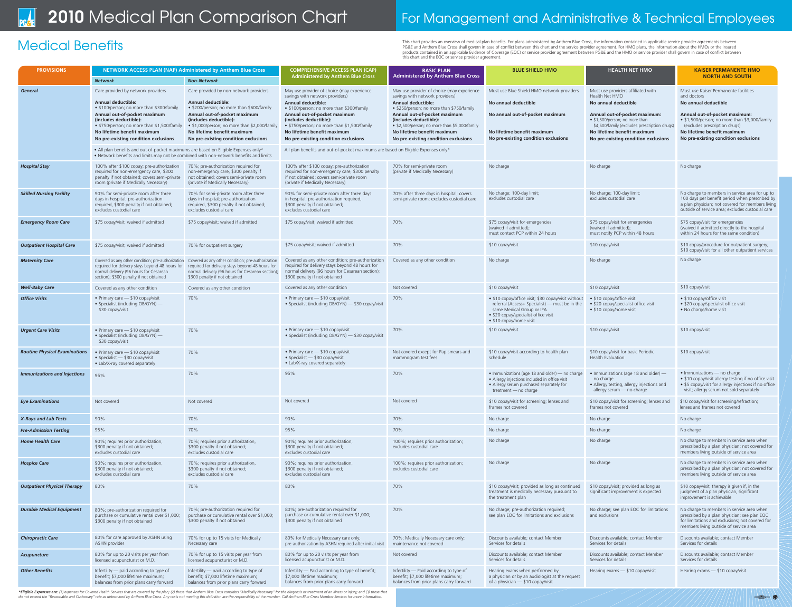# 2010 Medical Plan Comparison Chart For Management and Administrative & Technical Employees

This chart provides an overview of medical plan benefits. For plans administered by Anthem Blue Cross, the information contained in applicable service provider agreements between<br>PG&E and Anthem Blue Cross shall govern in products contained in an applicable Evidence of Coverage (EOC) or service provider agreement between PG&E and the HMO or service provider shall govern in case of conflict between this chart and the EOC or service provider agreement.

 $\bullet$  of  $\bullet$   $\bullet$   $\bullet$ 

| <b>PROVISIONS</b>                    | NETWORK ACCESS PLAN (NAP) Administered by Anthem Blue Cross                                                                                                                               |                                                                                                                                                                                           | <b>COMPREHENSIVE ACCESS PLAN (CAP)</b>                                                                                                                                                    | <b>BASIC PLAN</b>                                                                                                        | <b>BLUE SHIELD HMO</b>                                                                                                                                                                                | <b>HEALTH NET HMO</b>                                                                                                       | <b>KAISER PERMANENTE HMO</b>                                                                                                                                                                             |
|--------------------------------------|-------------------------------------------------------------------------------------------------------------------------------------------------------------------------------------------|-------------------------------------------------------------------------------------------------------------------------------------------------------------------------------------------|-------------------------------------------------------------------------------------------------------------------------------------------------------------------------------------------|--------------------------------------------------------------------------------------------------------------------------|-------------------------------------------------------------------------------------------------------------------------------------------------------------------------------------------------------|-----------------------------------------------------------------------------------------------------------------------------|----------------------------------------------------------------------------------------------------------------------------------------------------------------------------------------------------------|
|                                      | <b>Network</b>                                                                                                                                                                            | <b>Non-Network</b>                                                                                                                                                                        | <b>Administered by Anthem Blue Cross</b>                                                                                                                                                  | <b>Administered by Anthem Blue Cross</b>                                                                                 |                                                                                                                                                                                                       |                                                                                                                             | <b>NORTH AND SOUTH</b>                                                                                                                                                                                   |
| <b>General</b>                       | Care provided by network providers                                                                                                                                                        | Care provided by non-network providers                                                                                                                                                    | May use provider of choice (may experience<br>savings with network providers)                                                                                                             | May use provider of choice (may experience<br>savings with network providers)                                            | Must use Blue Shield HMO network providers                                                                                                                                                            | Must use providers affiliated with<br>Health Net HMO                                                                        | Must use Kaiser Permanente facilities<br>and doctors                                                                                                                                                     |
|                                      | <b>Annual deductible:</b><br>• \$100/person; no more than \$300/family                                                                                                                    | <b>Annual deductible:</b><br>• \$200/person; no more than \$600/family                                                                                                                    | <b>Annual deductible:</b><br>• \$100/person; no more than \$300/family                                                                                                                    | <b>Annual deductible:</b><br>• \$250/person; no more than \$750/family                                                   | No annual deductible                                                                                                                                                                                  | No annual deductible                                                                                                        | No annual deductible                                                                                                                                                                                     |
|                                      | Annual out-of-pocket maximum<br>(includes deductible):                                                                                                                                    | Annual out-of-pocket maximum<br>(includes deductible):                                                                                                                                    | Annual out-of-pocket maximum<br>(includes deductible):                                                                                                                                    | Annual out-of-pocket maximum<br>(includes deductible):                                                                   | No annual out-of-pocket maximum                                                                                                                                                                       | Annual out-of-pocket maximum:<br>• \$1,500/person; no more than                                                             | Annual out-of-pocket maximum:<br>• \$1,500/person; no more than \$3,000/family                                                                                                                           |
|                                      | • \$750/person; no more than \$1,500/family<br>No lifetime benefit maximum                                                                                                                | • \$1,000/person; no more than \$2,000/family<br>No lifetime benefit maximum                                                                                                              | • \$750/person; no more than \$1,500/family<br>No lifetime benefit maximum                                                                                                                | • \$2,500/person; no more than \$5,000/family<br>No lifetime benefit maximum                                             | No lifetime benefit maximum                                                                                                                                                                           | \$4,500/family (excludes prescription drugs)<br>No lifetime benefit maximum                                                 | (excludes prescription drugs)<br>No lifetime benefit maximum                                                                                                                                             |
|                                      | No pre-existing condition exclusions                                                                                                                                                      | No pre-existing condition exclusions                                                                                                                                                      | No pre-existing condition exclusions                                                                                                                                                      | No pre-existing condition exclusions                                                                                     | No pre-existing condition exclusions                                                                                                                                                                  | No pre-existing condition exclusions                                                                                        | No pre-existing condition exclusions                                                                                                                                                                     |
|                                      | • All plan benefits and out-of-pocket maximums are based on Eligible Expenses only*<br>. Network benefits and limits may not be combined with non-network benefits and limits             |                                                                                                                                                                                           | All plan benefits and out-of-pocket maximums are based on Eligible Expenses only*                                                                                                         |                                                                                                                          |                                                                                                                                                                                                       |                                                                                                                             |                                                                                                                                                                                                          |
| <b>Hospital Stay</b>                 | 100% after \$100 copay; pre-authorization<br>required for non-emergency care, \$300<br>penalty if not obtained; covers semi-private<br>room (private if Medically Necessary)              | 70%; pre-authorization required for<br>non-emergency care, \$300 penalty if<br>not obtained; covers semi-private room<br>(private if Medically Necessary)                                 | 100% after \$100 copay; pre-authorization<br>required for non-emergency care, \$300 penalty<br>if not obtained; covers semi-private room<br>(private if Medically Necessary)              | 70% for semi-private room<br>(private if Medically Necessary)                                                            | No charge                                                                                                                                                                                             | No charge                                                                                                                   | No charge                                                                                                                                                                                                |
| <b>Skilled Nursing Facility</b>      | 90% for semi-private room after three<br>days in hospital; pre-authorization<br>required, \$300 penalty if not obtained;<br>excludes custodial care                                       | 70% for semi-private room after three<br>days in hospital; pre-authorization<br>required, \$300 penalty if not obtained;<br>excludes custodial care                                       | 90% for semi-private room after three days<br>in hospital; pre-authorization required,<br>\$300 penalty if not obtained;<br>excludes custodial care                                       | 70% after three days in hospital; covers<br>semi-private room; excludes custodial care                                   | No charge; 100-day limit;<br>excludes custodial care                                                                                                                                                  | No charge; 100-day limit;<br>excludes custodial care                                                                        | No charge to members in service area for up to<br>100 days per benefit period when prescribed by<br>a plan physician; not covered for members living<br>outside of service area; excludes custodial care |
| <b>Emergency Room Care</b>           | \$75 copay/visit; waived if admitted                                                                                                                                                      | \$75 copay/visit; waived if admitted                                                                                                                                                      | \$75 copay/visit; waived if admitted                                                                                                                                                      | 70%                                                                                                                      | \$75 copay/visit for emergencies<br>(waived if admitted);<br>must contact PCP within 24 hours                                                                                                         | \$75 copay/visit for emergencies<br>(waived if admitted);<br>must notify PCP within 48 hours                                | \$75 copay/visit for emergencies<br>(waived if admitted directly to the hospital<br>within 24 hours for the same condition)                                                                              |
| <b>Outpatient Hospital Care</b>      | \$75 copay/visit; waived if admitted                                                                                                                                                      | 70% for outpatient surgery                                                                                                                                                                | \$75 copay/visit; waived if admitted                                                                                                                                                      | 70%                                                                                                                      | \$10 copay/visit                                                                                                                                                                                      | \$10 copay/visit                                                                                                            | \$10 copay/procedure for outpatient surgery;<br>\$10 copay/visit for all other outpatient services                                                                                                       |
| <b>Maternity Care</b>                | Covered as any other condition; pre-authorization<br>required for delivery stays beyond 48 hours for<br>normal delivery (96 hours for Cesarean<br>section); \$300 penalty if not obtained | Covered as any other condition; pre-authorization<br>required for delivery stays beyond 48 hours for<br>normal delivery (96 hours for Cesarean section);<br>\$300 penalty if not obtained | Covered as any other condition; pre-authorizatior<br>required for delivery stays beyond 48 hours for<br>normal delivery (96 hours for Cesarean section);<br>\$300 penalty if not obtained | Covered as any other condition                                                                                           | No charge                                                                                                                                                                                             | No charge                                                                                                                   | No charge                                                                                                                                                                                                |
| <b>Well-Baby Care</b>                | Covered as any other condition                                                                                                                                                            | Covered as any other condition                                                                                                                                                            | Covered as any other condition                                                                                                                                                            | Not covered                                                                                                              | \$10 copay/visit                                                                                                                                                                                      | \$10 copay/visit                                                                                                            | \$10 copay/visit                                                                                                                                                                                         |
| <b>Office Visits</b>                 | • Primary care - \$10 copay/visit<br>• Specialist (including OB/GYN) —<br>\$30 copay/visit                                                                                                | 70%                                                                                                                                                                                       | • Primary care - \$10 copay/visit<br>• Specialist (including OB/GYN) - \$30 copay/visit                                                                                                   | 70%                                                                                                                      | • \$10 copay/office visit; \$30 copay/visit without<br>referral (Access+ Specialist) — must be in the<br>same Medical Group or IPA<br>• \$20 copay/specialist office visit<br>• \$10 copay/home visit | • \$10 copay/office visit<br>• \$20 copay/specialist office visit<br>• \$10 copay/home visit                                | • \$10 copay/office visit<br>• \$20 copay/specialist office visit<br>• No charge/home visit                                                                                                              |
| <b>Urgent Care Visits</b>            | • Primary care $-$ \$10 copay/visit<br>• Specialist (including OB/GYN) —<br>\$30 copay/visit                                                                                              | 70%                                                                                                                                                                                       | • Primary care - \$10 copay/visit<br>• Specialist (including OB/GYN) - \$30 copay/visit                                                                                                   | 70%                                                                                                                      | \$10 copay/visit                                                                                                                                                                                      | \$10 copay/visit                                                                                                            | \$10 copay/visit                                                                                                                                                                                         |
| <b>Routine Physical Examinations</b> | • Primary care $-$ \$10 copay/visit<br>• Specialist - \$30 copay/visit<br>• Lab/X-ray covered separately                                                                                  | 70%                                                                                                                                                                                       | • Primary care - \$10 copay/visit<br>• Specialist - \$30 copay/visit<br>• Lab/X-ray covered separately                                                                                    | Not covered except for Pap smears and<br>mammogram test fees                                                             | \$10 copay/visit according to health plan<br>schedule                                                                                                                                                 | \$10 copay/visit for basic Periodic<br>Health Evaluation                                                                    | \$10 copay/visit                                                                                                                                                                                         |
| <b>Immunizations and Injections</b>  | 95%                                                                                                                                                                                       | 70%                                                                                                                                                                                       | 95%                                                                                                                                                                                       | 70%                                                                                                                      | • Immunizations (age 18 and older) — no charge<br>• Allergy injections included in office visit<br>• Allergy serum purchased separately for<br>treatment - no charge                                  | • Immunizations (age 18 and older) —<br>no charge<br>• Allergy testing, allergy injections and<br>allergy serum - no charge | • Immunizations - no charge<br>• \$10 copay/visit allergy testing if no office visit<br>• \$5 copay/visit for allergy injections if no office<br>visit; allergy serum not sold separately                |
| <b>Eye Examinations</b>              | Not covered                                                                                                                                                                               | Not covered                                                                                                                                                                               | Not covered                                                                                                                                                                               | Not covered                                                                                                              | \$10 copay/visit for screening; lenses and<br>frames not covered                                                                                                                                      | \$10 copay/visit for screening; lenses and<br>frames not covered                                                            | \$10 copay/visit for screening/refraction;<br>lenses and frames not covered                                                                                                                              |
| X-Rays and Lab Tests                 | 90%                                                                                                                                                                                       | 70%                                                                                                                                                                                       | 90%                                                                                                                                                                                       | 70%                                                                                                                      | No charge                                                                                                                                                                                             | No charge                                                                                                                   | No charge                                                                                                                                                                                                |
| <b>Pre-Admission Testing</b>         | 95%                                                                                                                                                                                       | 70%                                                                                                                                                                                       | 95%                                                                                                                                                                                       | 70%                                                                                                                      | No charge                                                                                                                                                                                             | No charge                                                                                                                   | No charge                                                                                                                                                                                                |
| <b>Home Health Care</b>              | 90%; requires prior authorization,<br>\$300 penalty if not obtained;<br>excludes custodial care                                                                                           | 70%; requires prior authorization,<br>\$300 penalty if not obtained;<br>excludes custodial care                                                                                           | 90%; requires prior authorization,<br>\$300 penalty if not obtained;<br>excludes custodial care                                                                                           | 100%; requires prior authorization;<br>excludes custodial care                                                           | No charge                                                                                                                                                                                             | No charge                                                                                                                   | No charge to members in service area when<br>prescribed by a plan physician; not covered for<br>members living outside of service area                                                                   |
| <b>Hospice Care</b>                  | 90%; requires prior authorization,<br>\$300 penalty if not obtained;<br>excludes custodial care                                                                                           | 70%; requires prior authorization,<br>\$300 penalty if not obtained;<br>excludes custodial care                                                                                           | 90%; requires prior authorization,<br>\$300 penalty if not obtained;<br>excludes custodial care                                                                                           | 100%; requires prior authorization;<br>excludes custodial care                                                           | No charge                                                                                                                                                                                             | No charge                                                                                                                   | No charge to members in service area when<br>prescribed by a plan physician; not covered for<br>members living outside of service area                                                                   |
| <b>Outpatient Physical Therapy</b>   | 80%                                                                                                                                                                                       | 70%                                                                                                                                                                                       | 80%                                                                                                                                                                                       | 70%                                                                                                                      | \$10 copay/visit; provided as long as continued<br>treatment is medically necessary pursuant to<br>the treatment plan                                                                                 | \$10 copay/visit; provided as long as<br>significant improvement is expected                                                | \$10 copay/visit; therapy is given if, in the<br>judgment of a plan physician, significant<br>improvement is achievable                                                                                  |
| <b>Durable Medical Equipment</b>     | 80%; pre-authorization required for<br>purchase or cumulative rental over \$1,000;<br>\$300 penalty if not obtained                                                                       | 70%; pre-authorization required for<br>purchase or cumulative rental over \$1,000;<br>\$300 penalty if not obtained                                                                       | 80%; pre-authorization required for<br>purchase or cumulative rental over \$1,000;<br>\$300 penalty if not obtained                                                                       | 70%                                                                                                                      | No charge; pre-authorization required;<br>see plan EOC for limitations and exclusions                                                                                                                 | No charge; see plan EOC for limitations<br>and exclusions                                                                   | No charge to members in service area when<br>prescribed by a plan physician; see plan EOC<br>for limitations and exclusions; not covered for<br>members living outside of service area                   |
| <b>Chiropractic Care</b>             | 80% for care approved by ASHN using<br>ASHN provider                                                                                                                                      | 70% for up to 15 visits for Medically<br>Necessary care                                                                                                                                   | 80% for Medically Necessary care only;<br>pre-authorization by ASHN required after initial visit                                                                                          | 70%; Medically Necessary care only;<br>maintenance not covered                                                           | Discounts available; contact Member<br>Services for details                                                                                                                                           | Discounts available; contact Member<br>Services for details                                                                 | Discounts available; contact Member<br>Services for details                                                                                                                                              |
| Acupuncture                          | 80% for up to 20 visits per year from<br>licensed acupuncturist or M.D.                                                                                                                   | 70% for up to 15 visits per year from<br>licensed acupuncturist or M.D.                                                                                                                   | 80% for up to 20 visits per year from<br>licensed acupuncturist or M.D.                                                                                                                   | Not covered                                                                                                              | Discounts available; contact Member<br>Services for details                                                                                                                                           | Discounts available; contact Member<br>Services for details                                                                 | Discounts available; contact Member<br>Services for details                                                                                                                                              |
| <b>Other Benefits</b>                | Infertility - paid according to type of<br>benefit; \$7,000 lifetime maximum;<br>balances from prior plans carry forward                                                                  | Infertility — paid according to type of<br>benefit; \$7,000 lifetime maximum;<br>balances from prior plans carry forward                                                                  | Infertility - Paid according to type of benefit;<br>\$7,000 lifetime maximum;<br>balances from prior plans carry forward                                                                  | Infertility - Paid according to type of<br>benefit; \$7,000 lifetime maximum;<br>balances from prior plans carry forward | Hearing exams when performed by<br>a physician or by an audiologist at the request<br>of a physician - \$10 copay/visit                                                                               | Hearing exams - \$10 copay/visit                                                                                            | Hearing exams - \$10 copay/visit                                                                                                                                                                         |

\*Eligible Expenses are: (1) expenses for Covered Health Services that are covered by the plan; (2) those that Anthem Blue Cross considers "Medically Necessary" for the diagnosis or treatment of an illness or injury; and (3 do not exceed the "Reasonable and Customary" rate as determined by Anthem Blue Cross. Any costs not meeting this definition are the responsibility of the member. Call Anthem Blue Cross Member Services for more information.